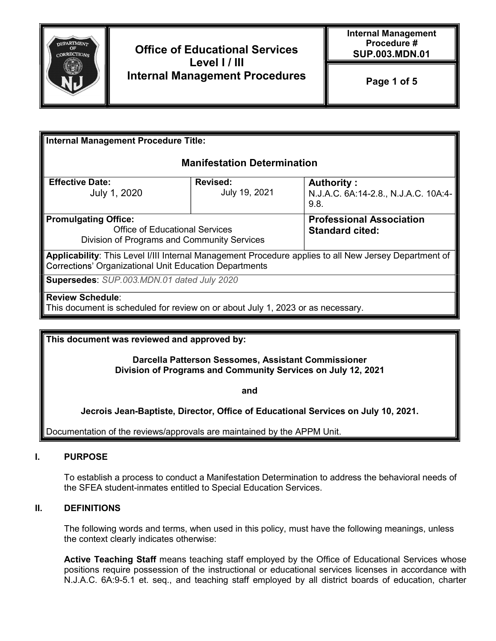

# Office of Educational Services Level I / III Internal Management Procedures

| Internal Management Procedure Title:                                                                                                                                             |                           |                                                                                                       |
|----------------------------------------------------------------------------------------------------------------------------------------------------------------------------------|---------------------------|-------------------------------------------------------------------------------------------------------|
| <b>Manifestation Determination</b>                                                                                                                                               |                           |                                                                                                       |
| <b>Effective Date:</b><br>July 1, 2020                                                                                                                                           | Revised:<br>July 19, 2021 | Authority:<br>N.J.A.C. 6A:14-2.8., N.J.A.C. 10A:4-<br>9.8.                                            |
| <b>Promulgating Office:</b><br><b>Professional Association</b><br><b>Office of Educational Services</b><br><b>Standard cited:</b><br>Division of Programs and Community Services |                           |                                                                                                       |
| Corrections' Organizational Unit Education Departments                                                                                                                           |                           | Applicability: This Level I/III Internal Management Procedure applies to all New Jersey Department of |
| Supersedes: SUP.003.MDN.01 dated July 2020                                                                                                                                       |                           |                                                                                                       |
| Review Schedule:<br>This document is scheduled for review on or about July 1, 2023 or as necessary.                                                                              |                           |                                                                                                       |

This document was reviewed and approved by:

Darcella Patterson Sessomes, Assistant Commissioner Division of Programs and Community Services on July 12, 2021

and

Jecrois Jean-Baptiste, Director, Office of Educational Services on July 10, 2021.

Documentation of the reviews/approvals are maintained by the APPM Unit.

### I. PURPOSE

To establish a process to conduct a Manifestation Determination to address the behavioral needs of the SFEA student-inmates entitled to Special Education Services.

### II. DEFINITIONS

The following words and terms, when used in this policy, must have the following meanings, unless the context clearly indicates otherwise:

Active Teaching Staff means teaching staff employed by the Office of Educational Services whose positions require possession of the instructional or educational services licenses in accordance with N.J.A.C. 6A:9-5.1 et. seq., and teaching staff employed by all district boards of education, charter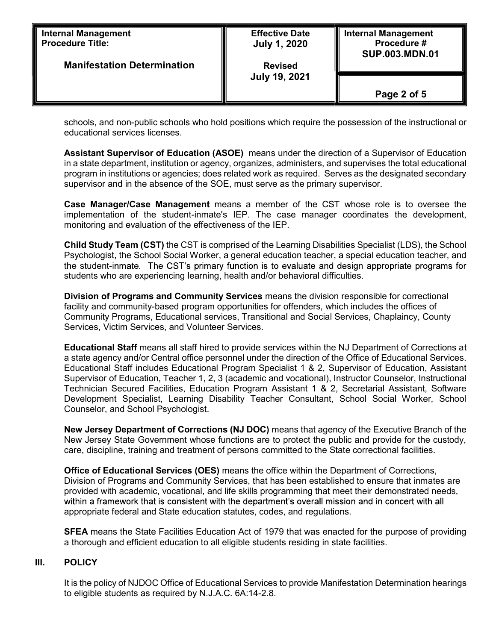| <b>Internal Management</b>         | <b>Effective Date</b> | <b>Internal Management</b> |
|------------------------------------|-----------------------|----------------------------|
| <b>Procedure Title:</b>            | <b>July 1, 2020</b>   | Procedure #                |
| <b>Manifestation Determination</b> | <b>Revised</b>        | <b>SUP.003.MDN.01</b>      |
|                                    | <b>July 19, 2021</b>  | Page 2 of 5                |

schools, and non-public schools who hold positions which require the possession of the instructional or educational services licenses.

Assistant Supervisor of Education (ASOE) means under the direction of a Supervisor of Education in a state department, institution or agency, organizes, administers, and supervises the total educational program in institutions or agencies; does related work as required. Serves as the designated secondary supervisor and in the absence of the SOE, must serve as the primary supervisor.

Case Manager/Case Management means a member of the CST whose role is to oversee the implementation of the student-inmate's IEP. The case manager coordinates the development, monitoring and evaluation of the effectiveness of the IEP.

Child Study Team (CST) the CST is comprised of the Learning Disabilities Specialist (LDS), the School Psychologist, the School Social Worker, a general education teacher, a special education teacher, and the student-inmate. The CST's primary function is to evaluate and design appropriate programs for students who are experiencing learning, health and/or behavioral difficulties.

Division of Programs and Community Services means the division responsible for correctional facility and community-based program opportunities for offenders, which includes the offices of Community Programs, Educational services, Transitional and Social Services, Chaplaincy, County Services, Victim Services, and Volunteer Services.

Educational Staff means all staff hired to provide services within the NJ Department of Corrections at a state agency and/or Central office personnel under the direction of the Office of Educational Services. Educational Staff includes Educational Program Specialist 1 & 2, Supervisor of Education, Assistant Supervisor of Education, Teacher 1, 2, 3 (academic and vocational), Instructor Counselor, Instructional Technician Secured Facilities, Education Program Assistant 1 & 2, Secretarial Assistant, Software Development Specialist, Learning Disability Teacher Consultant, School Social Worker, School Counselor, and School Psychologist.

New Jersey Department of Corrections (NJ DOC) means that agency of the Executive Branch of the New Jersey State Government whose functions are to protect the public and provide for the custody, care, discipline, training and treatment of persons committed to the State correctional facilities.

Office of Educational Services (OES) means the office within the Department of Corrections, Division of Programs and Community Services, that has been established to ensure that inmates are provided with academic, vocational, and life skills programming that meet their demonstrated needs, within a framework that is consistent with the department's overall mission and in concert with all appropriate federal and State education statutes, codes, and regulations.

**SFEA** means the State Facilities Education Act of 1979 that was enacted for the purpose of providing a thorough and efficient education to all eligible students residing in state facilities.

### III. POLICY

It is the policy of NJDOC Office of Educational Services to provide Manifestation Determination hearings to eligible students as required by N.J.A.C. 6A:14-2.8.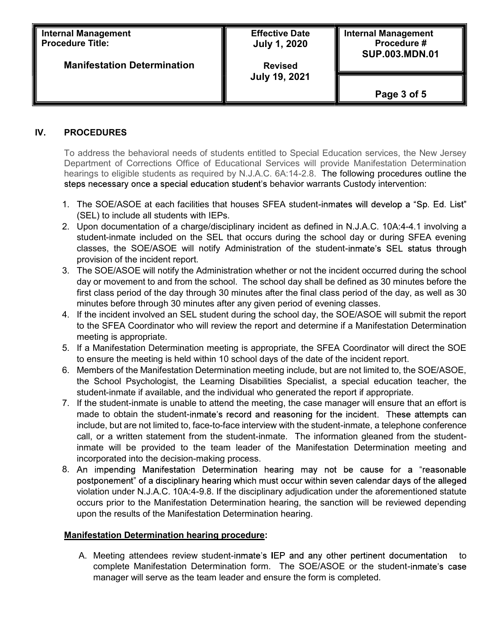| <b>Internal Management</b>         | <b>Effective Date</b> | <b>Internal Management</b> |
|------------------------------------|-----------------------|----------------------------|
| <b>I</b> Procedure Title:          | <b>July 1, 2020</b>   | Procedure #                |
| <b>Manifestation Determination</b> | <b>Revised</b>        | <b>SUP.003.MDN.01</b>      |
|                                    | <b>July 19, 2021</b>  | Page 3 of 5                |

## IV. PROCEDURES

To address the behavioral needs of students entitled to Special Education services, the New Jersey Department of Corrections Office of Educational Services will provide Manifestation Determination hearings to eligible students as required by N.J.A.C. 6A:14-2.8. The following procedures outline the steps necessary once a special education student's behavior warrants Custody intervention:

- 1. The SOE/ASOE at each facilities that houses SFEA student-inmates will develop a "Sp. Ed. List" (SEL) to include all students with IEPs.
- 2. Upon documentation of a charge/disciplinary incident as defined in N.J.A.C. 10A:4-4.1 involving a student-inmate included on the SEL that occurs during the school day or during SFEA evening classes, the SOE/ASOE will notify Administration of the student-inmate's SEL status through provision of the incident report.
- 3. The SOE/ASOE will notify the Administration whether or not the incident occurred during the school day or movement to and from the school. The school day shall be defined as 30 minutes before the first class period of the day through 30 minutes after the final class period of the day, as well as 30 minutes before through 30 minutes after any given period of evening classes.
- 4. If the incident involved an SEL student during the school day, the SOE/ASOE will submit the report to the SFEA Coordinator who will review the report and determine if a Manifestation Determination meeting is appropriate.
- 5. If a Manifestation Determination meeting is appropriate, the SFEA Coordinator will direct the SOE to ensure the meeting is held within 10 school days of the date of the incident report.
- 6. Members of the Manifestation Determination meeting include, but are not limited to, the SOE/ASOE, the School Psychologist, the Learning Disabilities Specialist, a special education teacher, the student-inmate if available, and the individual who generated the report if appropriate.
- 7. If the student-inmate is unable to attend the meeting, the case manager will ensure that an effort is made to obtain the student-inmate's record and reasoning for the incident. These attempts can include, but are not limited to, face-to-face interview with the student-inmate, a telephone conference call, or a written statement from the student-inmate. The information gleaned from the studentinmate will be provided to the team leader of the Manifestation Determination meeting and incorporated into the decision-making process.
- 8. An impending Manifestation Determination hearing may not be cause for a "reasonable postponement" of a disciplinary hearing which must occur within seven calendar days of the alleged violation under N.J.A.C. 10A:4-9.8. If the disciplinary adjudication under the aforementioned statute occurs prior to the Manifestation Determination hearing, the sanction will be reviewed depending upon the results of the Manifestation Determination hearing.

### Manifestation Determination hearing procedure:

A. Meeting attendees review student-inmate's IEP and any other pertinent documentation to complete Manifestation Determination form. The SOE/ASOE or the studentmanager will serve as the team leader and ensure the form is completed.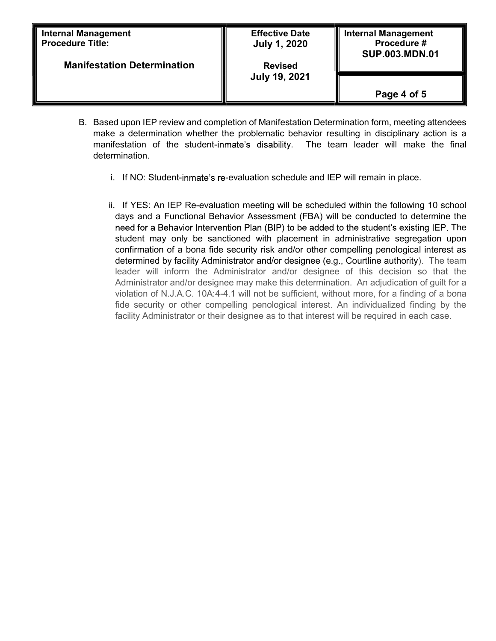| <b>Internal Management</b><br><b>Procedure Title:</b> | <b>Effective Date</b><br><b>July 1, 2020</b> | <b>Internal Management</b><br>Procedure #<br><b>SUP.003.MDN.01</b> |
|-------------------------------------------------------|----------------------------------------------|--------------------------------------------------------------------|
| <b>Manifestation Determination</b>                    | <b>Revised</b><br><b>July 19, 2021</b>       |                                                                    |
|                                                       |                                              | Page 4 of 5                                                        |

- B. Based upon IEP review and completion of Manifestation Determination form, meeting attendees make a determination whether the problematic behavior resulting in disciplinary action is a manifestation of the student-inmate's disability. The team leader will make the final determination.
	- i. If NO: Student-inmate's re-evaluation schedule and IEP will remain in place.
	- ii. If YES: An IEP Re-evaluation meeting will be scheduled within the following 10 school days and a Functional Behavior Assessment (FBA) will be conducted to determine the need for a Behavior Intervention Plan (BIP) to be added to the student's existing IEP. The student may only be sanctioned with placement in administrative segregation upon confirmation of a bona fide security risk and/or other compelling penological interest as determined by facility Administrator and/or designee (e.g., Courtline authority). The team leader will inform the Administrator and/or designee of this decision so that the Administrator and/or designee may make this determination. An adjudication of guilt for a violation of N.J.A.C. 10A:4-4.1 will not be sufficient, without more, for a finding of a bona fide security or other compelling penological interest. An individualized finding by the facility Administrator or their designee as to that interest will be required in each case.